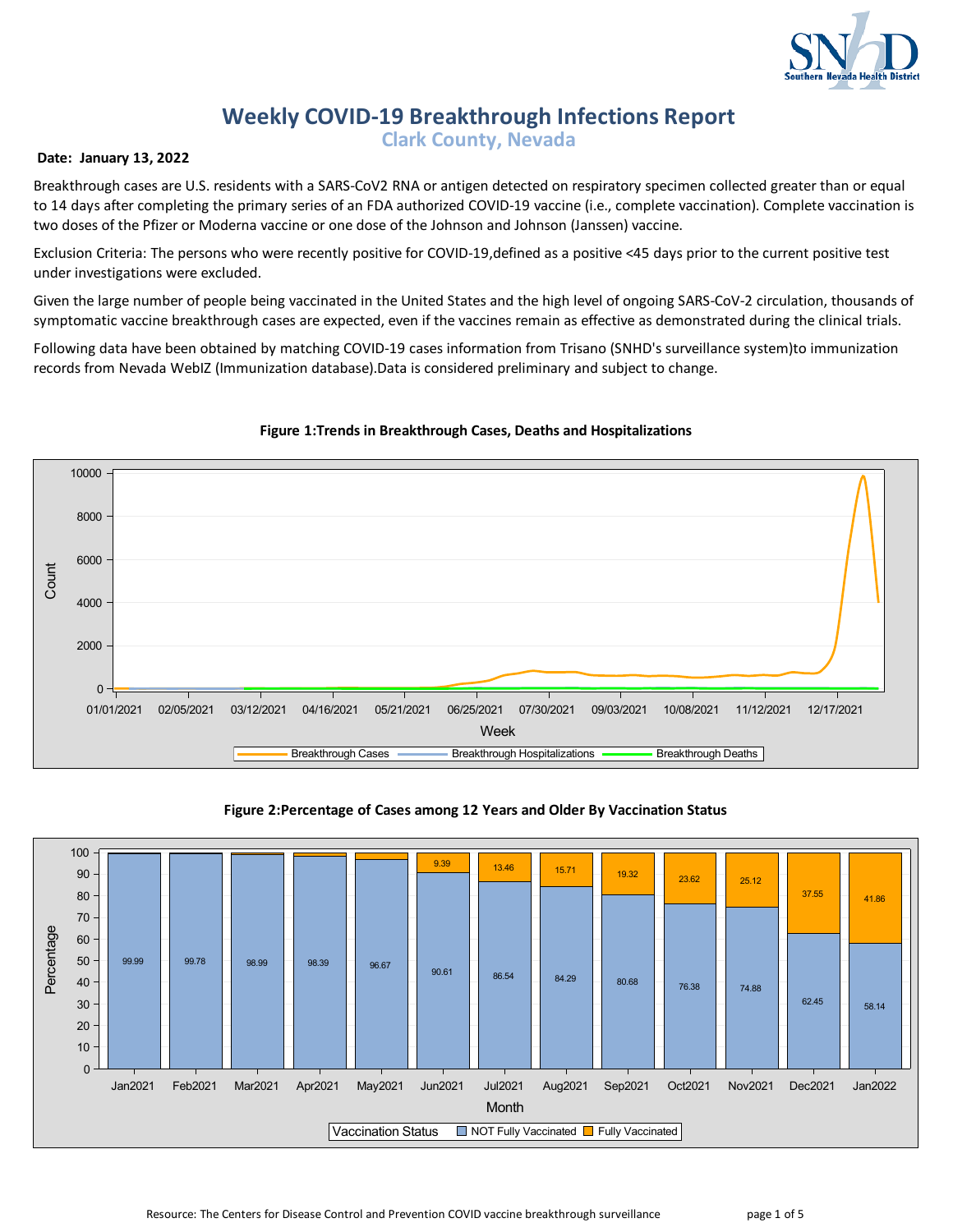

# **Weekly COVID-19 Breakthrough Infections Report**

**Clark County, Nevada**

## **Date: January 13, 2022**

Breakthrough cases are U.S. residents with a SARS-CoV2 RNA or antigen detected on respiratory specimen collected greater than or equal to 14 days after completing the primary series of an FDA authorized COVID-19 vaccine (i.e., complete vaccination). Complete vaccination is two doses of the Pfizer or Moderna vaccine or one dose of the Johnson and Johnson (Janssen) vaccine.

Exclusion Criteria: The persons who were recently positive for COVID-19,defined as a positive <45 days prior to the current positive test under investigations were excluded.

Given the large number of people being vaccinated in the United States and the high level of ongoing SARS-CoV-2 circulation, thousands of symptomatic vaccine breakthrough cases are expected, even if the vaccines remain as effective as demonstrated during the clinical trials.

Following data have been obtained by matching COVID-19 cases information from Trisano (SNHD's surveillance system)to immunization records from Nevada WebIZ (Immunization database).Data is considered preliminary and subject to change.



# **Figure 1:Trends in Breakthrough Cases, Deaths and Hospitalizations**



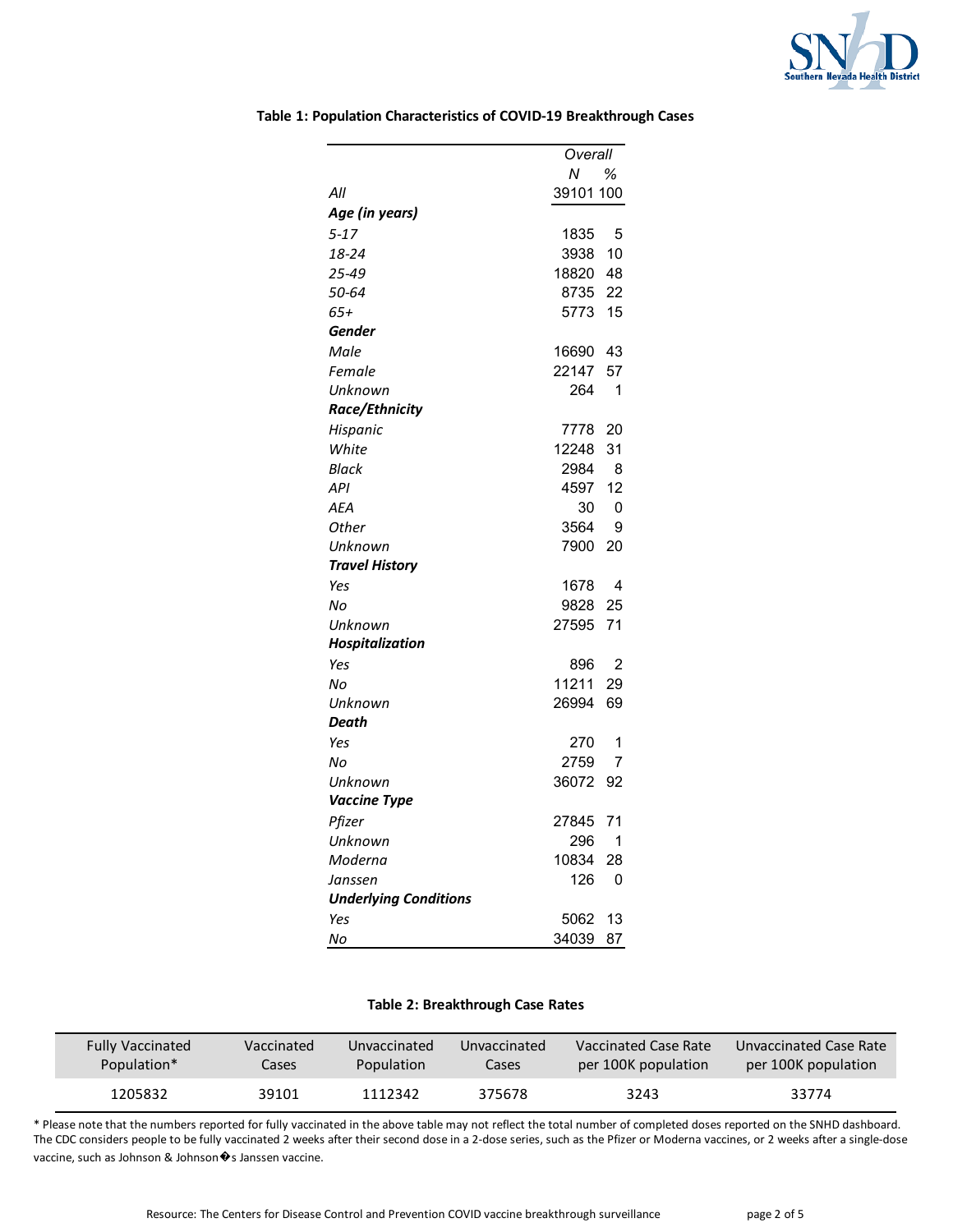

|                              |           | Overall |  |
|------------------------------|-----------|---------|--|
|                              | Ν         | ℅       |  |
| All                          | 39101 100 |         |  |
| Age (in years)               |           |         |  |
| $5 - 17$                     | 1835      | 5       |  |
| 18-24                        | 3938      | 10      |  |
| 25-49                        | 18820     | 48      |  |
| 50-64                        | 8735      | 22      |  |
| 65+                          | 5773      | 15      |  |
| Gender                       |           |         |  |
| Male                         | 16690     | 43      |  |
| Female                       | 22147     | 57      |  |
| Unknown                      | 264       | 1       |  |
| Race/Ethnicity               |           |         |  |
| Hispanic                     | 7778      | 20      |  |
| White                        | 12248     | 31      |  |
| Black                        | 2984      | 8       |  |
| API                          | 4597      | 12      |  |
| <b>AEA</b>                   | 30        | 0       |  |
| Other                        | 3564      | 9       |  |
| Unknown                      | 7900      | 20      |  |
| <b>Travel History</b>        |           |         |  |
| Yes                          | 1678      | 4       |  |
| No                           | 9828      | 25      |  |
| Unknown                      | 27595     | 71      |  |
| Hospitalization              |           |         |  |
| Yes                          | 896       | 2       |  |
| Nο                           | 11211     | 29      |  |
| Unknown                      | 26994     | 69      |  |
| Death                        |           |         |  |
| Yes                          | 270       | 1       |  |
| No                           | 2759      | 7       |  |
| Unknown                      | 36072     | 92      |  |
| Vaccine Type                 |           |         |  |
| Pfizer                       | 27845     | 71      |  |
| Unknown                      | 296       | 1       |  |
| Moderna                      | 10834     | 28      |  |
| Janssen                      | 126       | 0       |  |
| <b>Underlying Conditions</b> |           |         |  |
| Yes                          | 5062      | 13      |  |
| No                           | 34039     | 87      |  |

## **Table 1: Population Characteristics of COVID-19 Breakthrough Cases**

# **Table 2: Breakthrough Case Rates**

| <b>Fully Vaccinated</b> | Vaccinated | Unvaccinated      | Unvaccinated | <b>Naccinated Case Rate</b> | Unvaccinated Case Rate |
|-------------------------|------------|-------------------|--------------|-----------------------------|------------------------|
| Population*             | Cases      | <b>Population</b> | Cases        | per 100K population         | per 100K population    |
| 1205832                 | 39101      | 1112342           | 375678       | 3243                        |                        |

\* Please note that the numbers reported for fully vaccinated in the above table may not reflect the total number of completed doses reported on the SNHD dashboard. The CDC considers people to be fully vaccinated 2 weeks after their second dose in a 2-dose series, such as the Pfizer or Moderna vaccines, or 2 weeks after a single-dose vaccine, such as Johnson & Johnson  $\hat{\mathbf{\bullet}}$ s Janssen vaccine.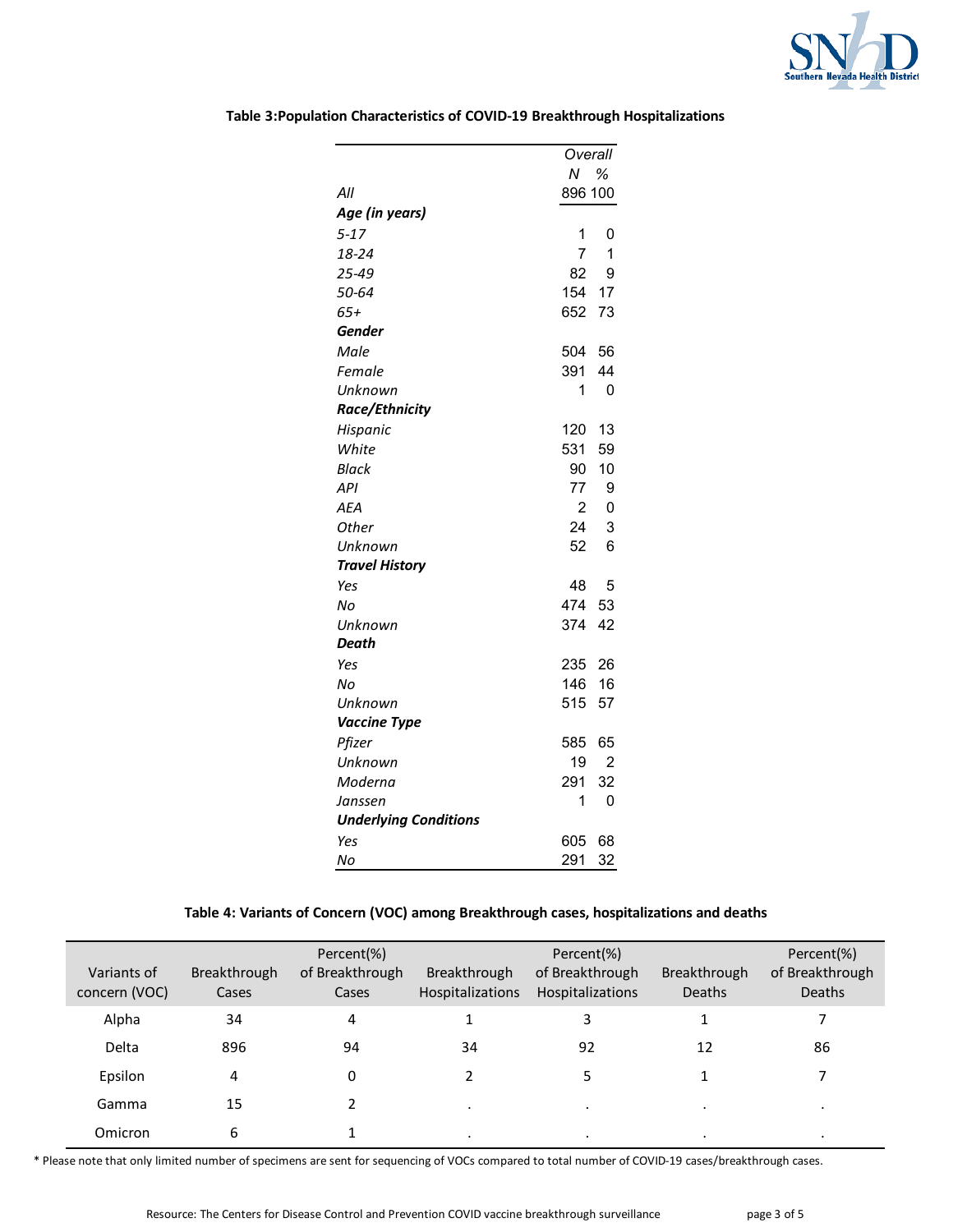

|                              |                | Overall        |  |
|------------------------------|----------------|----------------|--|
|                              | Ν              | %              |  |
| All                          | 896 100        |                |  |
| Age (in years)               |                |                |  |
| $5 - 17$                     | 1              | 0              |  |
| 18-24                        | $\overline{7}$ | 1              |  |
| 25-49                        | 82             | 9              |  |
| 50-64                        | 154            | 17             |  |
| $65+$                        | 652            | 73             |  |
| Gender                       |                |                |  |
| Male                         | 504            | 56             |  |
| Female                       | 391            | 44             |  |
| Unknown                      | 1              | 0              |  |
| Race/Ethnicity               |                |                |  |
| Hispanic                     | 120            | 13             |  |
| White                        | 531            | 59             |  |
| <b>Black</b>                 | 90             | 10             |  |
| API                          | 77             | 9              |  |
| <b>AEA</b>                   | $\overline{2}$ | $\mathbf 0$    |  |
| <b>Other</b>                 | 24             | 3              |  |
| Unknown                      | 52             | 6              |  |
| <b>Travel History</b>        |                |                |  |
| Yes                          | 48             | 5              |  |
| No                           | 474            | 53             |  |
| Unknown                      | 374            | 42             |  |
| Death                        |                |                |  |
| Yes                          | 235            | 26             |  |
| Nο                           | 146            | 16             |  |
| Unknown                      | 515            | 57             |  |
| <b>Vaccine Type</b>          |                |                |  |
| Pfizer                       | 585            | 65             |  |
| Unknown                      | 19             | $\overline{2}$ |  |
| Moderna                      | 291            | 32             |  |
| Janssen                      | 1              | 0              |  |
| <b>Underlying Conditions</b> |                |                |  |
| Yes                          | 605            | 68             |  |
| No                           | 291            | 32             |  |

# **Table 3:Population Characteristics of COVID-19 Breakthrough Hospitalizations**

# **Table 4: Variants of Concern (VOC) among Breakthrough cases, hospitalizations and deaths**

| Variants of<br>concern (VOC) | Breakthrough<br>Cases | Percent(%)<br>of Breakthrough<br>Cases | Breakthrough<br><b>Hospitalizations</b> | Percent(%)<br>of Breakthrough<br><b>Hospitalizations</b> | <b>Breakthrough</b><br><b>Deaths</b> | Percent(%)<br>of Breakthrough<br><b>Deaths</b> |
|------------------------------|-----------------------|----------------------------------------|-----------------------------------------|----------------------------------------------------------|--------------------------------------|------------------------------------------------|
| Alpha                        | 34                    | 4                                      |                                         | 3                                                        |                                      |                                                |
| Delta                        | 896                   | 94                                     | 34                                      | 92                                                       | 12                                   | 86                                             |
| Epsilon                      | 4                     | 0                                      |                                         |                                                          |                                      |                                                |
| Gamma                        | 15                    |                                        | $\blacksquare$                          | $\cdot$                                                  | $\bullet$                            |                                                |
| Omicron                      | 6                     |                                        | $\cdot$                                 | $\cdot$                                                  | $\cdot$                              |                                                |

\* Please note that only limited number of specimens are sent for sequencing of VOCs compared to total number of COVID-19 cases/breakthrough cases.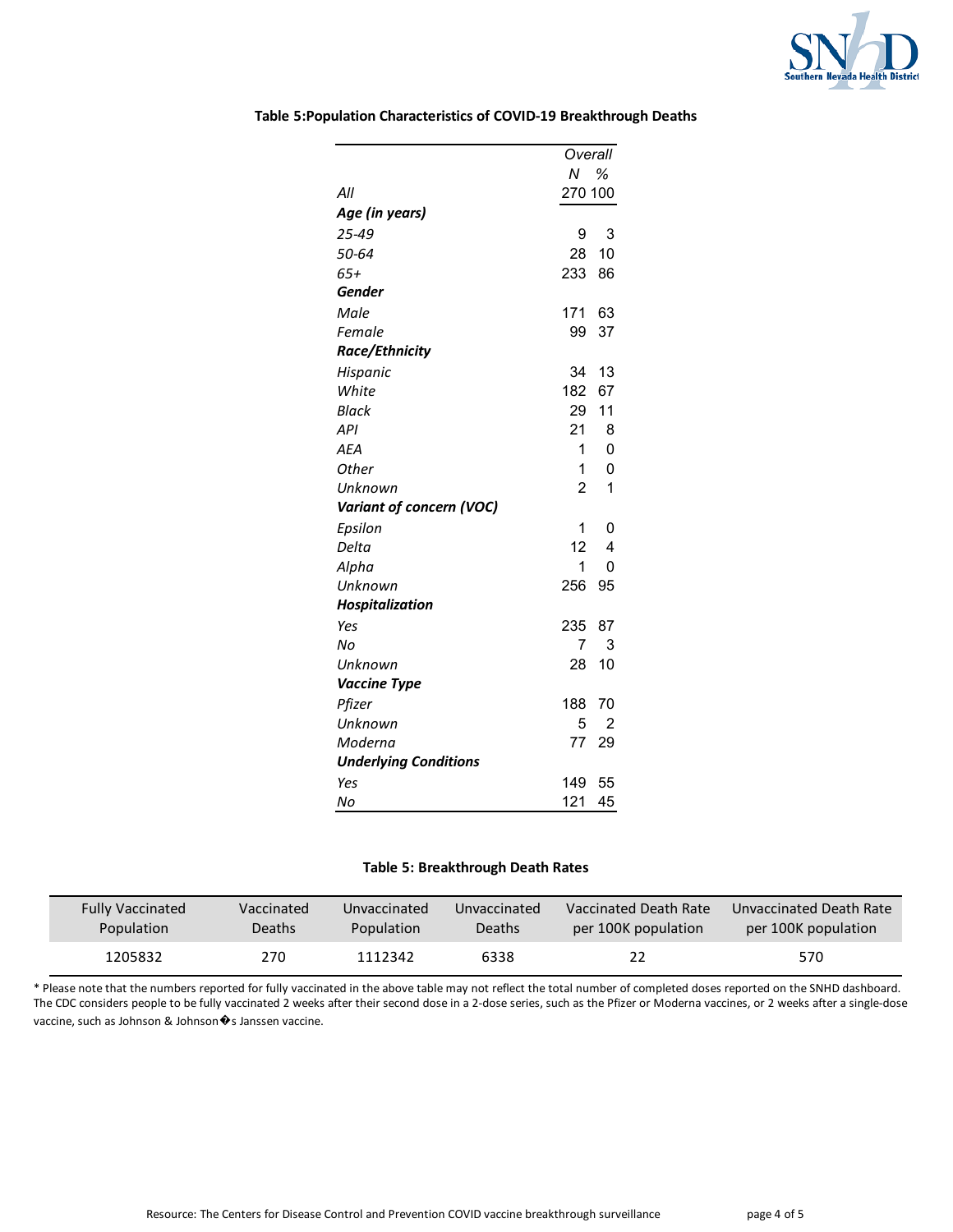

|                              | Overall             |
|------------------------------|---------------------|
|                              | N %                 |
| All                          | 270 100             |
| Age (in years)               |                     |
| 25-49                        | 9<br>3              |
| 50-64                        | 10<br>28            |
| 65+                          | 233<br>86           |
| <b>Gender</b>                |                     |
| Male                         | 171<br>63           |
| Female                       | 99<br>37            |
| Race/Ethnicity               |                     |
| Hispanic                     | 34<br>13            |
| White                        | 182<br>67           |
| Black                        | 29<br>11            |
| <b>API</b>                   | 21<br>8             |
| <b>AEA</b>                   | 1<br>$\mathbf 0$    |
| <b>Other</b>                 | 1<br>$\mathbf 0$    |
| Unknown                      | $\overline{2}$<br>1 |
| Variant of concern (VOC)     |                     |
| Epsilon                      | 1<br>0              |
| Delta                        | 12<br>4             |
| Alpha                        | 1<br>$\Omega$       |
| Unknown                      | 256<br>95           |
| Hospitalization              |                     |
| Yes                          | 235<br>87           |
| No                           | 7<br>3              |
| Unknown                      | 10<br>28            |
| <b>Vaccine Type</b>          |                     |
| Pfizer                       | 188<br>70           |
| Unknown                      | 5<br>$\overline{2}$ |
| Moderna                      | 77<br>29            |
| <b>Underlying Conditions</b> |                     |
| Yes                          | 149<br>55           |
| No                           | 121<br>45           |

## **Table 5:Population Characteristics of COVID-19 Breakthrough Deaths**

## **Table 5: Breakthrough Death Rates**

| <b>Fully Vaccinated</b> | Vaccinated | Unvaccinated | Unvaccinated | Vaccinated Death Rate | Unvaccinated Death Rate |
|-------------------------|------------|--------------|--------------|-----------------------|-------------------------|
| Population              | Deaths     | Population   | Deaths       | per 100K population   | per 100K population     |
| 1205832                 | 270        | 1112342      | 6338         | 22                    | 570                     |

\* Please note that the numbers reported for fully vaccinated in the above table may not reflect the total number of completed doses reported on the SNHD dashboard. The CDC considers people to be fully vaccinated 2 weeks after their second dose in a 2-dose series, such as the Pfizer or Moderna vaccines, or 2 weeks after a single-dose vaccine, such as Johnson & Johnson�s Janssen vaccine.